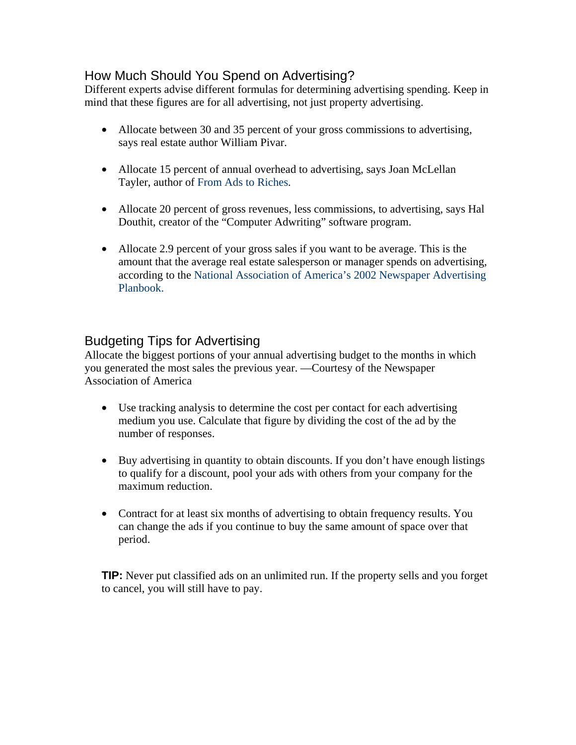## How Much Should You Spend on Advertising?

Different experts advise different formulas for determining advertising spending. Keep in mind that these figures are for all advertising, not just property advertising.

- Allocate between 30 and 35 percent of your gross commissions to advertising, says real estate author William Pivar.
- Allocate 15 percent of annual overhead to advertising, says Joan McLellan Tayler, author of From Ads to Riches.
- Allocate 20 percent of gross revenues, less commissions, to advertising, says Hal Douthit, creator of the "Computer Adwriting" software program.
- Allocate 2.9 percent of your gross sales if you want to be average. This is the amount that the average real estate salesperson or manager spends on advertising, according to the National Association of America's 2002 Newspaper Advertising Planbook.

## Budgeting Tips for Advertising

Allocate the biggest portions of your annual advertising budget to the months in which you generated the most sales the previous year. —Courtesy of the Newspaper Association of America

- Use tracking analysis to determine the cost per contact for each advertising medium you use. Calculate that figure by dividing the cost of the ad by the number of responses.
- Buy advertising in quantity to obtain discounts. If you don't have enough listings to qualify for a discount, pool your ads with others from your company for the maximum reduction.
- Contract for at least six months of advertising to obtain frequency results. You can change the ads if you continue to buy the same amount of space over that period.

**TIP:** Never put classified ads on an unlimited run. If the property sells and you forget to cancel, you will still have to pay.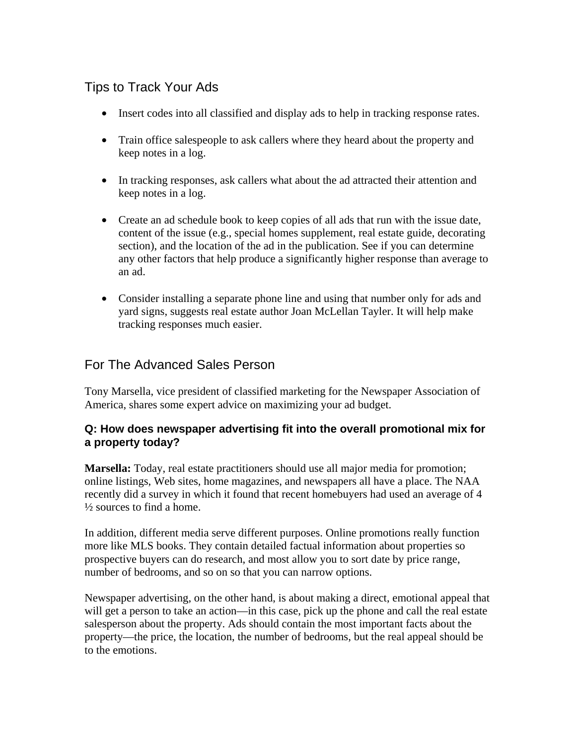## Tips to Track Your Ads

- Insert codes into all classified and display ads to help in tracking response rates.
- Train office salespeople to ask callers where they heard about the property and keep notes in a log.
- In tracking responses, ask callers what about the ad attracted their attention and keep notes in a log.
- Create an ad schedule book to keep copies of all ads that run with the issue date, content of the issue (e.g., special homes supplement, real estate guide, decorating section), and the location of the ad in the publication. See if you can determine any other factors that help produce a significantly higher response than average to an ad.
- Consider installing a separate phone line and using that number only for ads and yard signs, suggests real estate author Joan McLellan Tayler. It will help make tracking responses much easier.

# For The Advanced Sales Person

Tony Marsella, vice president of classified marketing for the Newspaper Association of America, shares some expert advice on maximizing your ad budget.

### **Q: How does newspaper advertising fit into the overall promotional mix for a property today?**

**Marsella:** Today, real estate practitioners should use all major media for promotion; online listings, Web sites, home magazines, and newspapers all have a place. The NAA recently did a survey in which it found that recent homebuyers had used an average of 4 ½ sources to find a home.

In addition, different media serve different purposes. Online promotions really function more like MLS books. They contain detailed factual information about properties so prospective buyers can do research, and most allow you to sort date by price range, number of bedrooms, and so on so that you can narrow options.

Newspaper advertising, on the other hand, is about making a direct, emotional appeal that will get a person to take an action—in this case, pick up the phone and call the real estate salesperson about the property. Ads should contain the most important facts about the property—the price, the location, the number of bedrooms, but the real appeal should be to the emotions.